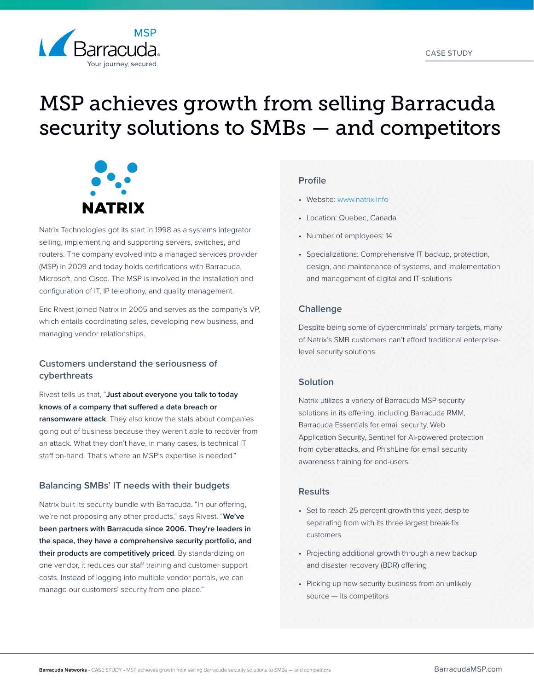

# MSP achieves growth from selling Barracuda security solutions to SMBs — and competitors



Natrix Technologies got its start in 1998 as a systems integrator selling, implementing and supporting servers, switches, and routers. The company evolved into a managed services provider (MSP) in 2009 and today holds certifications with Barracuda, Microsoft, and Cisco. The MSP is involved in the installation and configuration of IT, IP telephony, and quality management.

Eric Rivest joined Natrix in 2005 and serves as the company's VP, which entails coordinating sales, developing new business, and managing vendor relationships.

## **Customers understand the seriousness of cyberthreats**

Rivest tells us that, "**Just about everyone you talk to today knows of a company that suffered a data breach or ransomware attack**. They also know the stats about companies going out of business because they weren't able to recover from an attack. What they don't have, in many cases, is technical IT staff on-hand. That's where an MSP's expertise is needed."

## **Balancing SMBs' IT needs with their budgets**

Natrix built its security bundle with Barracuda. "In our offering, we're not proposing any other products," says Rivest. "**We've been partners with Barracuda since 2006. They're leaders in the space, they have a comprehensive security portfolio, and their products are competitively priced**. By standardizing on one vendor, it reduces our staff training and customer support costs. Instead of logging into multiple vendor portals, we can manage our customers' security from one place."

## **Profile**

- Website: [www.natrix.info](http://www.natrix.info)
- Location: Quebec, Canada
- Number of employees: 14
- Specializations: Comprehensive IT backup, protection, design, and maintenance of systems, and implementation and management of digital and IT solutions

## **Challenge**

Despite being some of cybercriminals' primary targets, many of Natrix's SMB customers can't afford traditional enterpriselevel security solutions.

## **Solution**

Natrix utilizes a variety of Barracuda MSP security solutions in its offering, including Barracuda RMM, Barracuda Essentials for email security, Web Application Security, Sentinel for AI-powered protection from cyberattacks, and PhishLine for email security awareness training for end-users.

## **Results**

- Set to reach 25 percent growth this year, despite separating from with its three largest break-fix customers
- Projecting additional growth through a new backup and disaster recovery (BDR) offering
- Picking up new security business from an unlikely source — its competitors